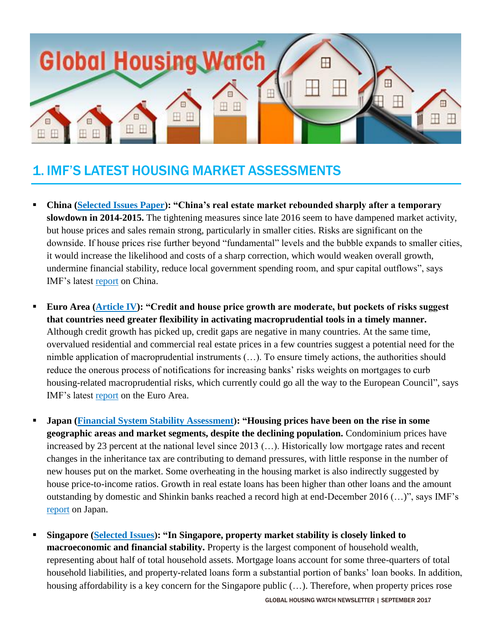

# 1. IMF'S LATEST HOUSING MARKET ASSESSMENTS

- **China [\(Selected Issues Paper\)](http://unassumingeconomist.com/2017/08/assessing-chinas-residential-real-estate-market/): "China's real estate market rebounded sharply after a temporary slowdown in 2014-2015.** The tightening measures since late 2016 seem to have dampened market activity, but house prices and sales remain strong, particularly in smaller cities. Risks are significant on the downside. If house prices rise further beyond "fundamental" levels and the bubble expands to smaller cities, it would increase the likelihood and costs of a sharp correction, which would weaken overall growth, undermine financial stability, reduce local government spending room, and spur capital outflows", says IMF's latest [report](http://www.imf.org/~/media/Files/Publications/CR/2017/cr17248.ashx) on China.
- **Euro Area** (**Article IV**): "Credit and house price growth are moderate, but pockets of risks suggest **that countries need greater flexibility in activating macroprudential tools in a timely manner.** Although credit growth has picked up, credit gaps are negative in many countries. At the same time, overvalued residential and commercial real estate prices in a few countries suggest a potential need for the nimble application of macroprudential instruments (…). To ensure timely actions, the authorities should reduce the onerous process of notifications for increasing banks' risks weights on mortgages to curb housing-related macroprudential risks, which currently could go all the way to the European Council", says IMF's latest [report](http://www.imf.org/~/media/Files/Publications/CR/2017/cr17235.ashx) on the Euro Area.
- **Japan [\(Financial System Stability Assessment\)](http://unassumingeconomist.com/2017/08/japan-risks-emerging-from-real-estate/): "Housing prices have been on the rise in some geographic areas and market segments, despite the declining population.** Condominium prices have increased by 23 percent at the national level since 2013 (…). Historically low mortgage rates and recent changes in the inheritance tax are contributing to demand pressures, with little response in the number of new houses put on the market. Some overheating in the housing market is also indirectly suggested by house price-to-income ratios. Growth in real estate loans has been higher than other loans and the amount outstanding by domestic and Shinkin banks reached a record high at end-December 2016 (…)", says IMF's [report](http://www.imf.org/~/media/Files/Publications/CR/2017/cr17244.ashx) on Japan.
- **Singapore [\(Selected Issues\)](http://unassumingeconomist.com/2017/07/housing-market-in-singapore/): "In Singapore, property market stability is closely linked to macroeconomic and financial stability.** Property is the largest component of household wealth, representing about half of total household assets. Mortgage loans account for some three-quarters of total household liabilities, and property-related loans form a substantial portion of banks' loan books. In addition, housing affordability is a key concern for the Singapore public (...). Therefore, when property prices rose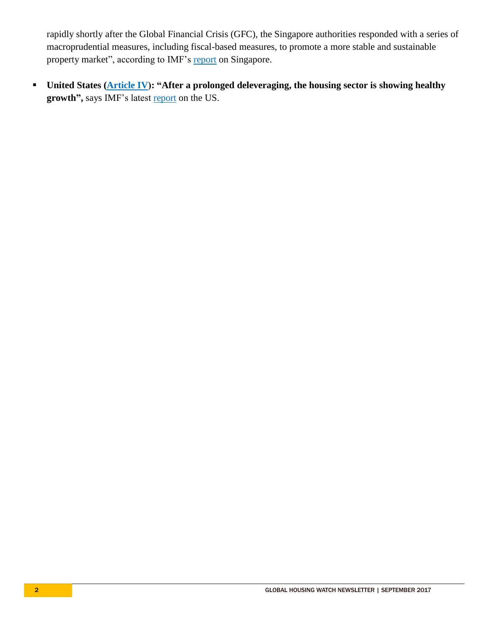rapidly shortly after the Global Financial Crisis (GFC), the Singapore authorities responded with a series of macroprudential measures, including fiscal-based measures, to promote a more stable and sustainable property market", according to IMF's [report](http://www.imf.org/~/media/Files/Publications/CR/2017/cr17241.ashx) on Singapore.

■ United States (**Article IV**): "After a prolonged deleveraging, the housing sector is showing healthy **growth",** says IMF's latest [report](http://www.imf.org/en/Publications/CR/Issues/2017/07/27/United-States-2017-Article-IV-Consultation-Press-Release-Staff-Report-45142?cid=em-COM-123-35684) on the US.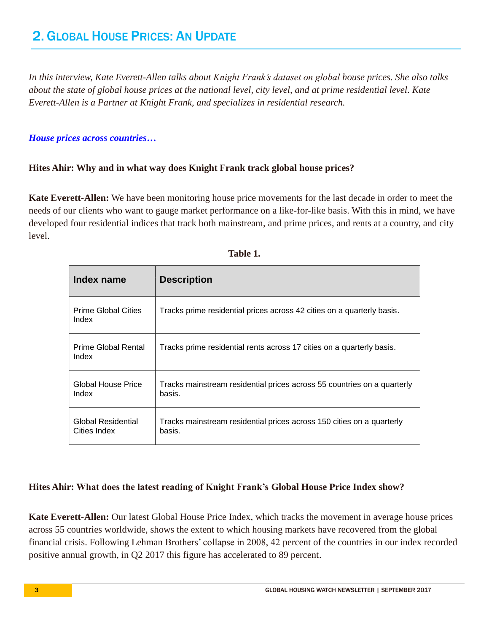*In this interview, Kate Everett-Allen talks about Knight Frank's dataset on global house prices. She also talks about the state of global house prices at the national level, city level, and at prime residential level. Kate Everett-Allen is a Partner at Knight Frank, and specializes in residential research.* 

#### *House prices across countries…*

# **Hites Ahir: Why and in what way does Knight Frank track global house prices?**

**Kate Everett-Allen:** We have been monitoring house price movements for the last decade in order to meet the needs of our clients who want to gauge market performance on a like-for-like basis. With this in mind, we have developed four residential indices that track both mainstream, and prime prices, and rents at a country, and city level.

| <b>Index name</b>                   | <b>Description</b>                                                                |
|-------------------------------------|-----------------------------------------------------------------------------------|
| <b>Prime Global Cities</b><br>Index | Tracks prime residential prices across 42 cities on a quarterly basis.            |
| Prime Global Rental<br>Index        | Tracks prime residential rents across 17 cities on a quarterly basis.             |
| Global House Price<br>Index         | Tracks mainstream residential prices across 55 countries on a quarterly<br>basis. |
| Global Residential<br>Cities Index  | Tracks mainstream residential prices across 150 cities on a quarterly<br>basis.   |

| × |  |
|---|--|

# **Hites Ahir: What does the latest reading of Knight Frank's Global House Price Index show?**

**Kate Everett-Allen:** Our latest Global House Price Index, which tracks the movement in average house prices across 55 countries worldwide, shows the extent to which housing markets have recovered from the global financial crisis. Following Lehman Brothers' collapse in 2008, 42 percent of the countries in our index recorded positive annual growth, in Q2 2017 this figure has accelerated to 89 percent.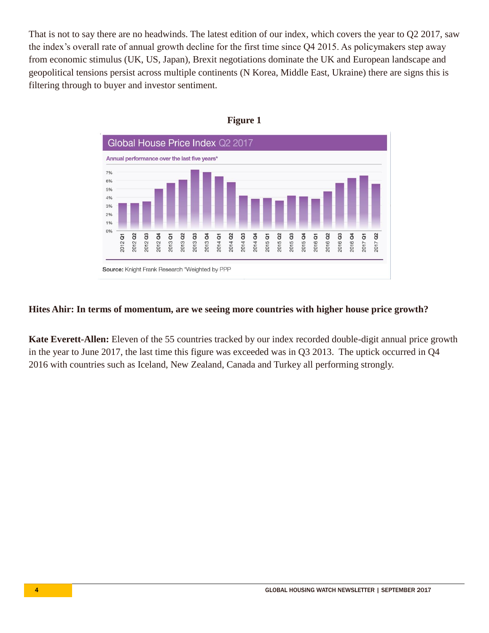That is not to say there are no headwinds. The latest edition of our index, which covers the year to Q2 2017, saw the index's overall rate of annual growth decline for the first time since Q4 2015. As policymakers step away from economic stimulus (UK, US, Japan), Brexit negotiations dominate the UK and European landscape and geopolitical tensions persist across multiple continents (N Korea, Middle East, Ukraine) there are signs this is filtering through to buyer and investor sentiment.





#### **Hites Ahir: In terms of momentum, are we seeing more countries with higher house price growth?**

**Kate Everett-Allen:** Eleven of the 55 countries tracked by our index recorded double-digit annual price growth in the year to June 2017, the last time this figure was exceeded was in Q3 2013. The uptick occurred in Q4 2016 with countries such as Iceland, New Zealand, Canada and Turkey all performing strongly.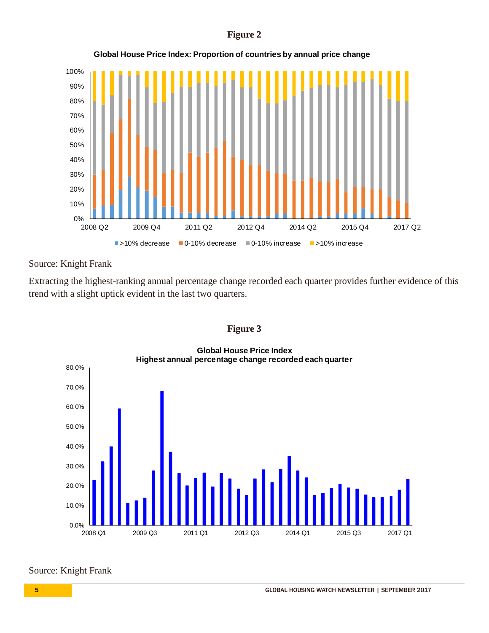#### **Figure 2**



**Global House Price Index: Proportion of countries by annual price change**

# Source: Knight Frank

Extracting the highest-ranking annual percentage change recorded each quarter provides further evidence of this trend with a slight uptick evident in the last two quarters.



0.0% 10.0% 20.0% 30.0% 40.0% 50.0% 60.0% 70.0% 80.0% 2008 Q1 2009 Q3 2011 Q1 2012 Q3 2014 Q1 2015 Q3 2017 Q1 **Global House Price Index Highest annual percentage change recorded each quarter**

# Source: Knight Frank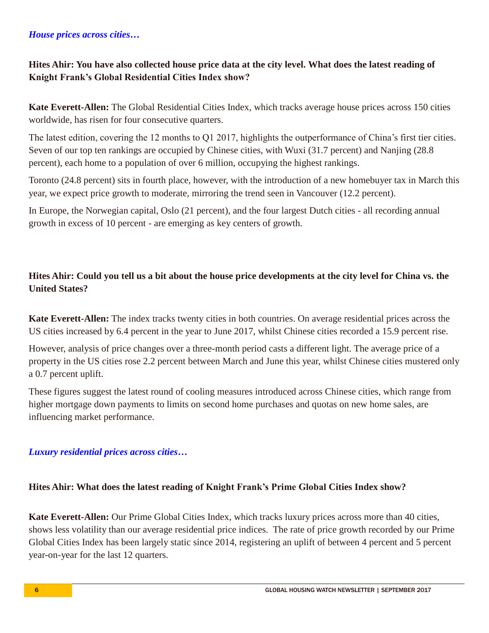# *House prices across cities…*

# **Hites Ahir: You have also collected house price data at the city level. What does the latest reading of Knight Frank's Global Residential Cities Index show?**

**Kate Everett-Allen:** The Global Residential Cities Index, which tracks average house prices across 150 cities worldwide, has risen for four consecutive quarters.

The latest edition, covering the 12 months to Q1 2017, highlights the outperformance of China's first tier cities. Seven of our top ten rankings are occupied by Chinese cities, with Wuxi (31.7 percent) and Nanjing (28.8 percent), each home to a population of over 6 million, occupying the highest rankings.

Toronto (24.8 percent) sits in fourth place, however, with the introduction of a new homebuyer tax in March this year, we expect price growth to moderate, mirroring the trend seen in Vancouver (12.2 percent).

In Europe, the Norwegian capital, Oslo (21 percent), and the four largest Dutch cities - all recording annual growth in excess of 10 percent - are emerging as key centers of growth.

# **Hites Ahir: Could you tell us a bit about the house price developments at the city level for China vs. the United States?**

**Kate Everett-Allen:** The index tracks twenty cities in both countries. On average residential prices across the US cities increased by 6.4 percent in the year to June 2017, whilst Chinese cities recorded a 15.9 percent rise.

However, analysis of price changes over a three-month period casts a different light. The average price of a property in the US cities rose 2.2 percent between March and June this year, whilst Chinese cities mustered only a 0.7 percent uplift.

These figures suggest the latest round of cooling measures introduced across Chinese cities, which range from higher mortgage down payments to limits on second home purchases and quotas on new home sales, are influencing market performance.

# *Luxury residential prices across cities…*

# **Hites Ahir: What does the latest reading of Knight Frank's Prime Global Cities Index show?**

**Kate Everett-Allen:** Our Prime Global Cities Index, which tracks luxury prices across more than 40 cities, shows less volatility than our average residential price indices. The rate of price growth recorded by our Prime Global Cities Index has been largely static since 2014, registering an uplift of between 4 percent and 5 percent year-on-year for the last 12 quarters.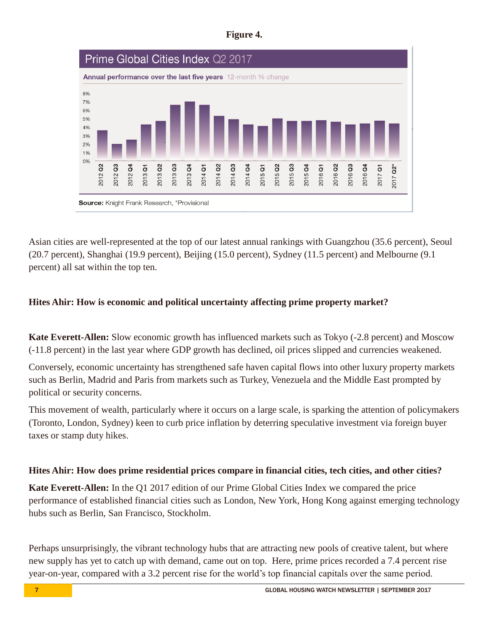| υ<br>ш<br>п |  |
|-------------|--|
|-------------|--|



Asian cities are well-represented at the top of our latest annual rankings with Guangzhou (35.6 percent), Seoul (20.7 percent), Shanghai (19.9 percent), Beijing (15.0 percent), Sydney (11.5 percent) and Melbourne (9.1 percent) all sat within the top ten.

# **Hites Ahir: How is economic and political uncertainty affecting prime property market?**

**Kate Everett-Allen:** Slow economic growth has influenced markets such as Tokyo (-2.8 percent) and Moscow (-11.8 percent) in the last year where GDP growth has declined, oil prices slipped and currencies weakened.

Conversely, economic uncertainty has strengthened safe haven capital flows into other luxury property markets such as Berlin, Madrid and Paris from markets such as Turkey, Venezuela and the Middle East prompted by political or security concerns.

This movement of wealth, particularly where it occurs on a large scale, is sparking the attention of policymakers (Toronto, London, Sydney) keen to curb price inflation by deterring speculative investment via foreign buyer taxes or stamp duty hikes.

# **Hites Ahir: How does prime residential prices compare in financial cities, tech cities, and other cities?**

**Kate Everett-Allen:** In the Q1 2017 edition of our Prime Global Cities Index we compared the price performance of established financial cities such as London, New York, Hong Kong against emerging technology hubs such as Berlin, San Francisco, Stockholm.

Perhaps unsurprisingly, the vibrant technology hubs that are attracting new pools of creative talent, but where new supply has yet to catch up with demand, came out on top. Here, prime prices recorded a 7.4 percent rise year-on-year, compared with a 3.2 percent rise for the world's top financial capitals over the same period.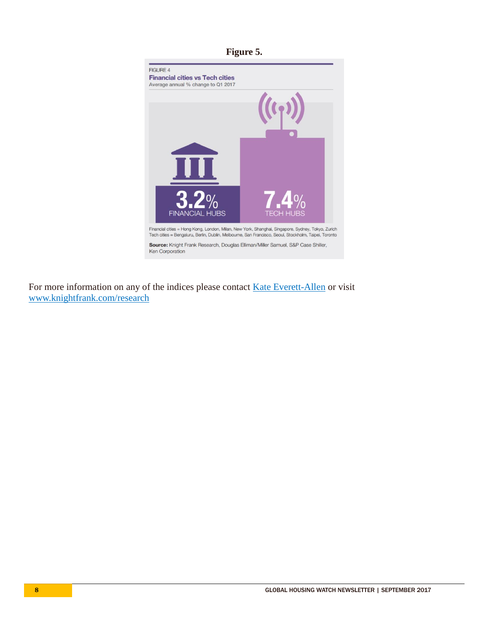

For more information on any of the indices please contact [Kate Everett-Allen](mailto:kate.everett-allen@knightfrank.com?subject=IMF%20blog) or visit [www.knightfrank.com/research](http://www.knightfrank.com/research)